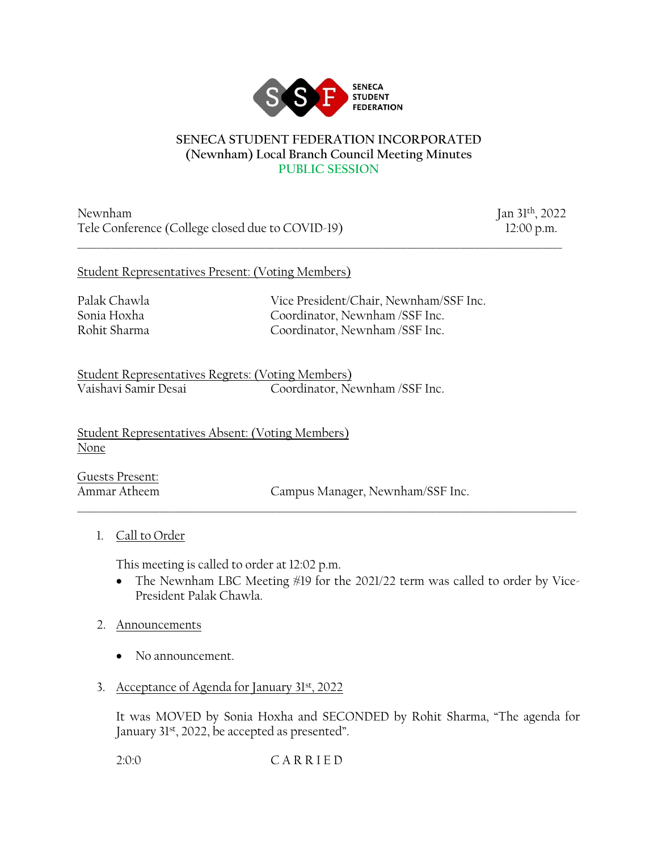

#### **SENECA STUDENT FEDERATION INCORPORATED (Newnham) Local Branch Council Meeting Minutes PUBLIC SESSION**

\_\_\_\_\_\_\_\_\_\_\_\_\_\_\_\_\_\_\_\_\_\_\_\_\_\_\_\_\_\_\_\_\_\_\_\_\_\_\_\_\_\_\_\_\_\_\_\_\_\_\_\_\_\_\_\_\_\_\_\_\_\_\_\_\_\_\_\_\_\_\_\_\_\_\_\_\_\_\_\_\_\_\_\_\_\_\_\_\_\_\_\_\_\_\_\_\_\_\_\_

Newnham Jan 31<sup>th</sup>, 2022 Tele Conference (College closed due to COVID-19) 12:00 p.m.

#### Student Representatives Present: (Voting Members)

Palak Chawla Vice President/Chair, Newnham/SSF Inc. Sonia Hoxha Coordinator, Newnham /SSF Inc. Rohit Sharma Coordinator, Newnham /SSF Inc.

Student Representatives Regrets: (Voting Members) Coordinator, Newnham /SSF Inc.

Student Representatives Absent: (Voting Members) None

Guests Present:

Ammar Atheem Campus Manager, Newnham/SSF Inc.

1. Call to Order

This meeting is called to order at 12:02 p.m.

• The Newnham LBC Meeting #19 for the 2021/22 term was called to order by Vice-President Palak Chawla.

\_\_\_\_\_\_\_\_\_\_\_\_\_\_\_\_\_\_\_\_\_\_\_\_\_\_\_\_\_\_\_\_\_\_\_\_\_\_\_\_\_\_\_\_\_\_\_\_\_\_\_\_\_\_\_\_\_\_\_\_\_\_\_\_\_\_\_\_\_\_\_\_\_\_\_\_\_\_\_\_\_\_\_\_\_\_\_\_\_\_\_\_\_\_\_\_\_\_\_\_\_\_\_

- 2. Announcements
	- No announcement.
- 3. Acceptance of Agenda for January 31st, 2022

It was MOVED by Sonia Hoxha and SECONDED by Rohit Sharma, "The agenda for January 31st, 2022, be accepted as presented".

2:0:0 C A R R I E D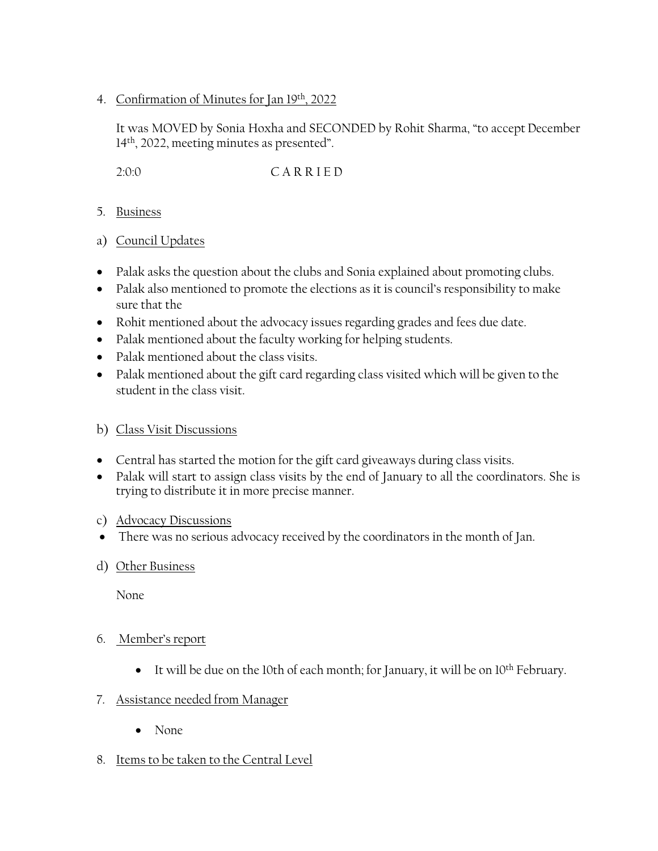4. Confirmation of Minutes for Jan 19th, 2022

It was MOVED by Sonia Hoxha and SECONDED by Rohit Sharma, "to accept December 14th, 2022, meeting minutes as presented".

2:0:0 C A R R I E D

- 5. Business
- a) Council Updates
- Palak asks the question about the clubs and Sonia explained about promoting clubs.
- Palak also mentioned to promote the elections as it is council's responsibility to make sure that the
- Rohit mentioned about the advocacy issues regarding grades and fees due date.
- Palak mentioned about the faculty working for helping students.
- Palak mentioned about the class visits.
- Palak mentioned about the gift card regarding class visited which will be given to the student in the class visit.

## b) Class Visit Discussions

- Central has started the motion for the gift card giveaways during class visits.
- Palak will start to assign class visits by the end of January to all the coordinators. She is trying to distribute it in more precise manner.

## c) Advocacy Discussions

- There was no serious advocacy received by the coordinators in the month of Jan.
- d) Other Business

None

- 6. Member's report
	- It will be due on the 10th of each month; for January, it will be on 10<sup>th</sup> February.

## 7. Assistance needed from Manager

- None
- 8. Items to be taken to the Central Level